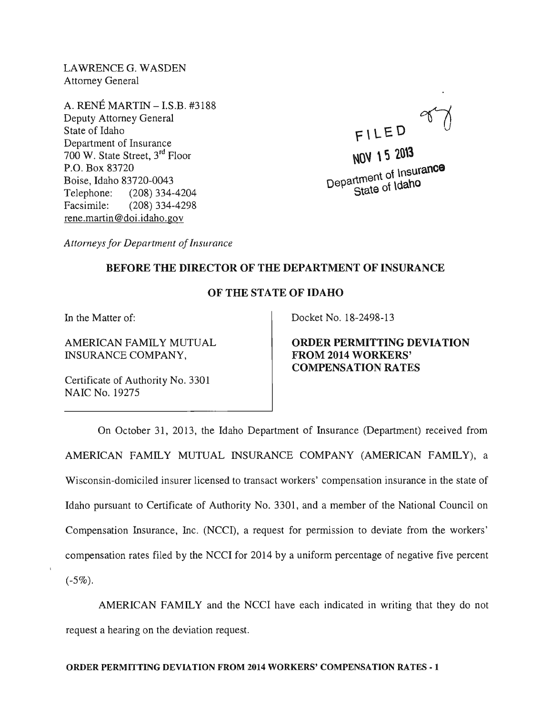LAWRENCE G. WASDEN Attorney General

A. RENE MARTIN - I.S.B. #3188 Deputy Attorney General State of Idaho Department of Insurance 700 W. State Street, 3rd Floor P.O. Box 83720 Boise, Idaho 83720-0043 Telephone: (208) 334-4204 Facsimile: (208) 334-4298 rene.martin@doi.idaho.gov

FILED

NOV 15 2013 NUY 15 2010<br>Department of Insurance state of Idaho

*Attorneys for Department of Insurance* 

## BEFORE THE DIRECTOR OF THE DEPARTMENT OF INSURANCE

## OF THE STATE OF IDAHO

In the Matter of:

AMERICAN FAMILY MUTUAL INSURANCE COMPANY,

Certificate of Authority No. 3301 NAIC No. 19275

Docket No. 18-2498-13

ORDER PERMITTING DEVIATION FROM 2014 WORKERS' COMPENSATION RATES

On October 31, 2013, the Idaho Department of Insurance (Department) received from AMERICAN FAMILY MUTUAL INSURANCE COMPANY (AMERICAN FAMILY), a Wisconsin-domiciled insurer licensed to transact workers' compensation insurance in the state of Idaho pursuant to Certificate of Authority No. 3301, and a member of the National Council on Compensation Insurance, Inc. (NCCI), a request for permission to deviate from the workers' compensation rates filed by the NCCI for 2014 by a uniform percentage of negative five percent  $(-5\%)$ .

AMERICAN FAMILY and the NCCI have each indicated in writing that they do not request a hearing on the deviation request.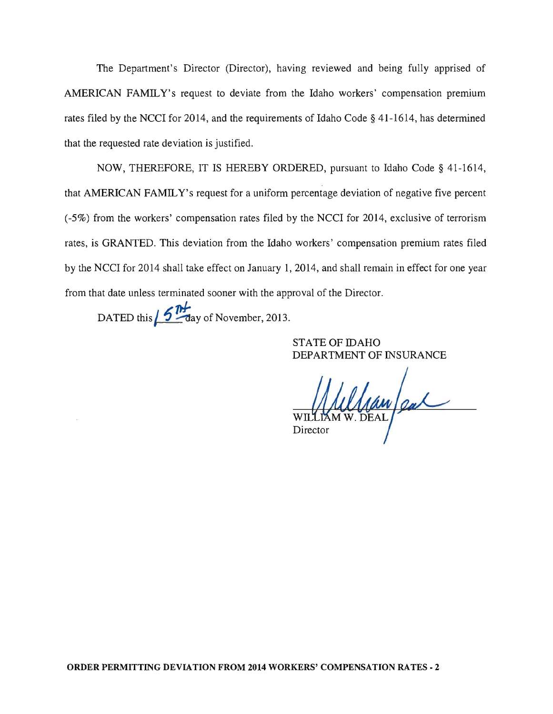The Department's Director (Director), having reviewed and being fully apprised of AMERICAN FAMILY's request to deviate from the Idaho workers' compensation premium rates filed by the NCCI for 2014, and the requirements of Idaho Code § 41-1614, has determined that the requested rate deviation is justified.

NOW, THEREFORE, IT IS HEREBY ORDERED, pursuant to Idaho Code § 41-1614, that AMERICAN FAMILY's request for a uniform percentage deviation of negative five percent (-5%) from the workers' compensation rates filed by the NCCI for 2014, exclusive of terrorism rates, is GRANTED. This deviation from the Idaho workers' compensation premium rates filed by the NCCI for 2014 shall take effect on January 1,2014, and shall remain in effect for one year from that date unless terminated sooner with the approval of the Director.

DATED this **6 <sup>11</sup>** ay of November, 2013.

STATE OF IDAHO DEPARTMENT OF INSURANCE

Saw Jeal Director